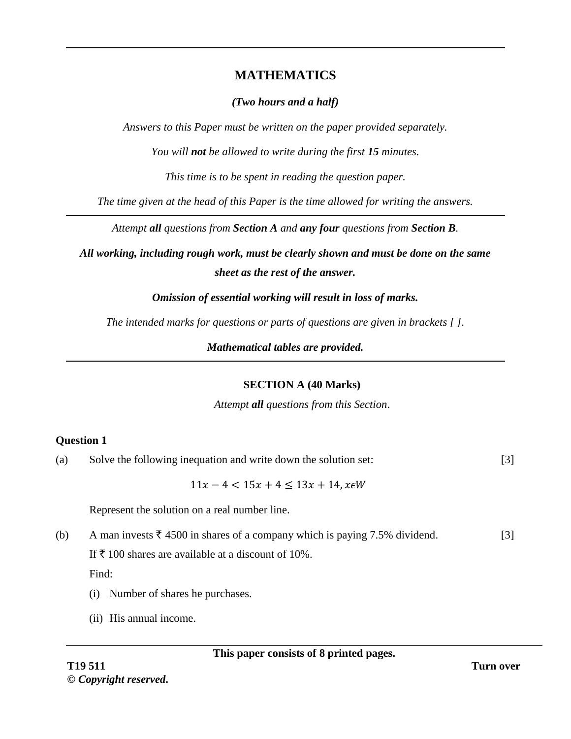# **MATHEMATICS**

# *(Two hours and a half)*

*Answers to this Paper must be written on the paper provided separately.*

*You will not be allowed to write during the first 15 minutes.*

*This time is to be spent in reading the question paper.*

*The time given at the head of this Paper is the time allowed for writing the answers.*

*Attempt all questions from Section A and any four questions from Section B.* 

*All working, including rough work, must be clearly shown and must be done on the same sheet as the rest of the answer.* 

*Omission of essential working will result in loss of marks.*

*The intended marks for questions or parts of questions are given in brackets [ ].*

*Mathematical tables are provided.*

## **SECTION A (40 Marks)**

*Attempt all questions from this Section*.

# **Question 1**

(a) Solve the following inequation and write down the solution set: [3]

 $11x - 4 < 15x + 4 < 13x + 14$ ,  $x \in W$ 

Represent the solution on a real number line.

(b) A man invests  $\bar{\tau}$  4500 in shares of a company which is paying 7.5% dividend. [3]

If  $\bar{\tau}$  100 shares are available at a discount of 10%.

Find:

- (i) Number of shares he purchases.
- (ii) His annual income.

**This paper consists of 8 printed pages.**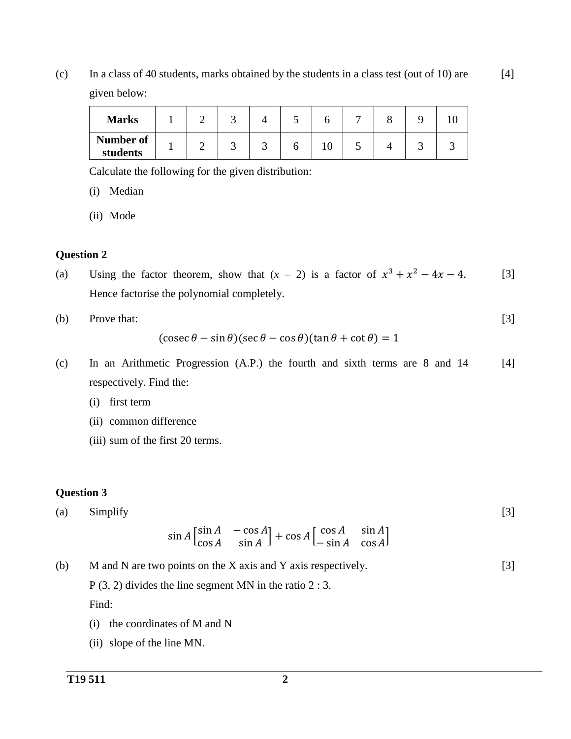(c) In a class of 40 students, marks obtained by the students in a class test (out of 10) are given below: [4]

| <b>Marks</b>          |  |  |    | – |  |  |
|-----------------------|--|--|----|---|--|--|
| Number of<br>students |  |  | ιv | ب |  |  |

Calculate the following for the given distribution:

(i) Median

(ii) Mode

#### **Question 2**

- (a) Using the factor theorem, show that  $(x 2)$  is a factor of  $x^3 + x^2 4x 4$ . Hence factorise the polynomial completely. [3]
- (b) Prove that:

$$
(\csc \theta - \sin \theta)(\sec \theta - \cos \theta)(\tan \theta + \cot \theta) = 1
$$

- (c) In an Arithmetic Progression (A.P.) the fourth and sixth terms are 8 and 14 respectively. Find the: [4]
	- (i) first term
	- (ii) common difference
	- (iii) sum of the first 20 terms.

#### **Question 3**

(a) Simplify  
\n
$$
\sin A \begin{bmatrix} \sin A & -\cos A \\ \cos A & \sin A \end{bmatrix} + \cos A \begin{bmatrix} \cos A & \sin A \\ -\sin A & \cos A \end{bmatrix}
$$
\n[3]

(b) M and N are two points on the X axis and Y axis respectively. P (3, 2) divides the line segment MN in the ratio 2 : 3. Find: [3]

- (i) the coordinates of M and N
- (ii) slope of the line MN.

[3]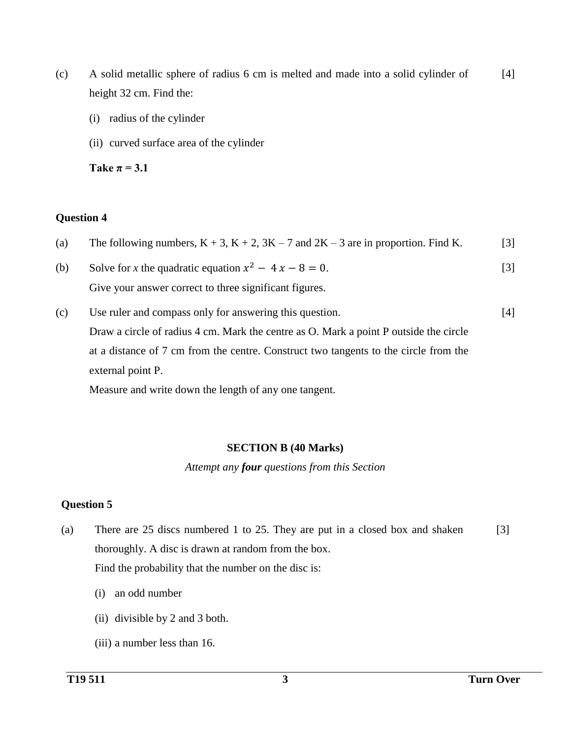- (c) A solid metallic sphere of radius 6 cm is melted and made into a solid cylinder of height 32 cm. Find the: [4]
	- (i) radius of the cylinder
	- (ii) curved surface area of the cylinder

Take  $\pi = 3.1$ 

### **Question 4**

- (a) The following numbers,  $K + 3$ ,  $K + 2$ ,  $3K 7$  and  $2K 3$  are in proportion. Find K. [3]
- (b) Solve for *x* the quadratic equation  $x^2 4x 8 = 0$ . Give your answer correct to three significant figures. [3]
- (c) Use ruler and compass only for answering this question. Draw a circle of radius 4 cm. Mark the centre as O. Mark a point P outside the circle at a distance of 7 cm from the centre. Construct two tangents to the circle from the external point P. [4]

Measure and write down the length of any one tangent.

### **SECTION B (40 Marks)**

*Attempt any four questions from this Section*

### **Question 5**

- (a) There are 25 discs numbered 1 to 25. They are put in a closed box and shaken thoroughly. A disc is drawn at random from the box. Find the probability that the number on the disc is: [3]
	- (i) an odd number
	- (ii) divisible by 2 and 3 both.
	- (iii) a number less than 16.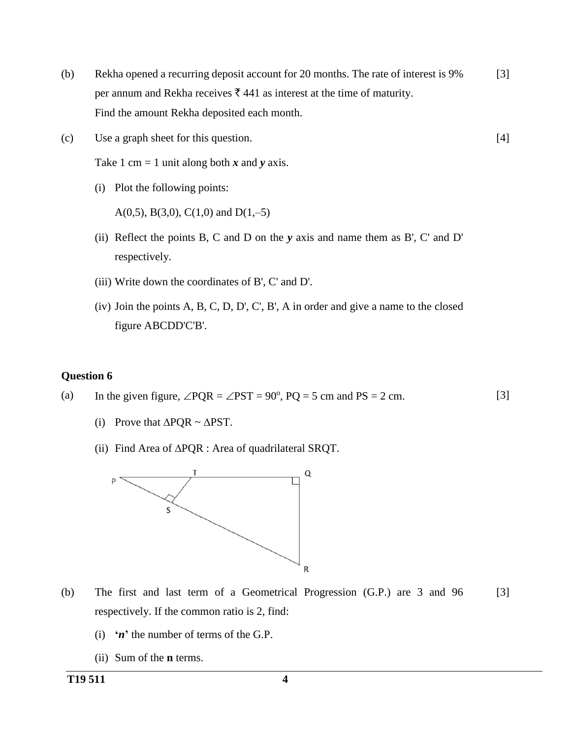(b) Rekha opened a recurring deposit account for 20 months. The rate of interest is 9% per annum and Rekha receives  $\bar{\tau}$  441 as interest at the time of maturity. Find the amount Rekha deposited each month. [3]

[4]

(c) Use a graph sheet for this question.

Take 1 cm = 1 unit along both  $x$  and  $y$  axis.

(i) Plot the following points:

A(0,5), B(3,0), C(1,0) and D(1,-5)

- (ii) Reflect the points B, C and D on the *y* axis and name them as B', C' and D' respectively.
- (iii) Write down the coordinates of B', C' and D'.
- (iv) Join the points A, B, C, D, D', C', B', A in order and give a name to the closed figure ABCDD'C'B'.

#### **Question 6**

- (a) In the given figure,  $\angle PQR = \angle PST = 90^\circ$ ,  $PQ = 5$  cm and  $PS = 2$  cm. [3]
	- (i) Prove that  $\triangle PQR \sim \triangle PST$ .
	- (ii) Find Area of  $\triangle PQR$  : Area of quadrilateral SRQT.



- (b) The first and last term of a Geometrical Progression (G.P.) are 3 and 96 respectively. If the common ratio is 2, find: [3]
	- (i) **'***n***'** the number of terms of the G.P.
	- (ii) Sum of the **n** terms.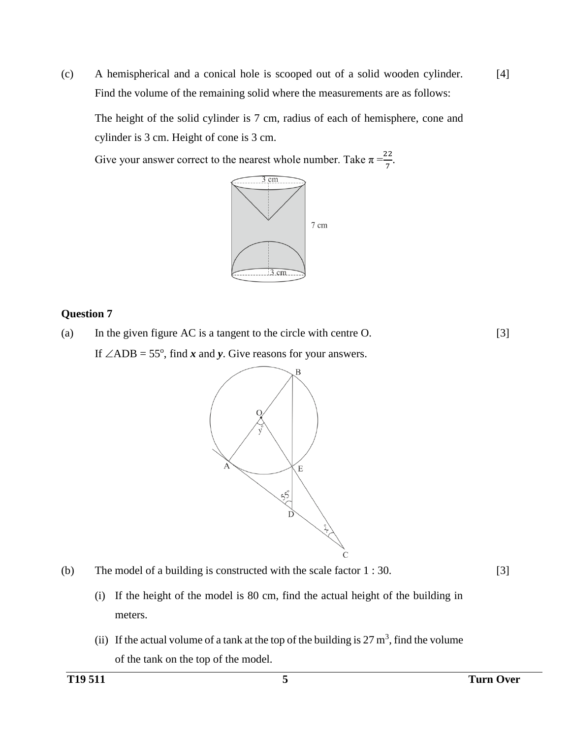(c) A hemispherical and a conical hole is scooped out of a solid wooden cylinder. Find the volume of the remaining solid where the measurements are as follows: [4]

The height of the solid cylinder is 7 cm, radius of each of hemisphere, cone and cylinder is 3 cm. Height of cone is 3 cm.

Give your answer correct to the nearest whole number. Take  $\pi = \frac{22}{7}$ .



### **Question 7**

(a) In the given figure AC is a tangent to the circle with centre O. If  $\angle$ ADB = 55°, find *x* and *y*. Give reasons for your answers.

[3]





[3]

- (i) If the height of the model is 80 cm, find the actual height of the building in meters.
- (ii) If the actual volume of a tank at the top of the building is  $27 \text{ m}^3$ , find the volume of the tank on the top of the model.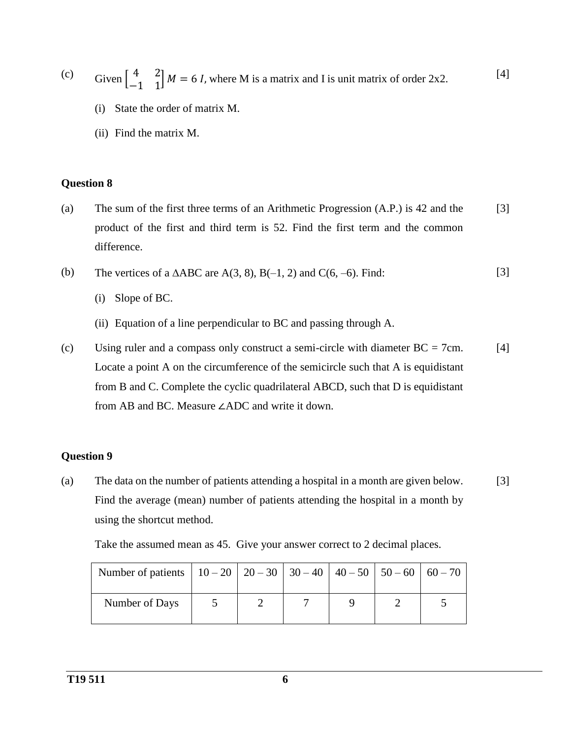(c) Given  $\begin{bmatrix} 4 & 2 \\ 1 & 1 \end{bmatrix}$  $\begin{bmatrix} 4 & 2 \\ -1 & 1 \end{bmatrix}$  M = 6 *I*, where M is a matrix and I is unit matrix of order 2x2. [4]

- (i) State the order of matrix M.
- (ii) Find the matrix M.

### **Question 8**

- (a) The sum of the first three terms of an Arithmetic Progression (A.P.) is 42 and the product of the first and third term is 52. Find the first term and the common difference. [3]
- (b) The vertices of a  $\triangle ABC$  are  $A(3, 8)$ ,  $B(-1, 2)$  and  $C(6, -6)$ . Find: [3]
	- (i) Slope of BC.
	- (ii) Equation of a line perpendicular to BC and passing through A.
- (c) Using ruler and a compass only construct a semi-circle with diameter  $BC = 7$ cm. Locate a point A on the circumference of the semicircle such that A is equidistant from B and C. Complete the cyclic quadrilateral ABCD, such that D is equidistant from AB and BC. Measure ∠ADC and write it down. [4]

### **Question 9**

(a) The data on the number of patients attending a hospital in a month are given below. Find the average (mean) number of patients attending the hospital in a month by using the shortcut method. [3]

Take the assumed mean as 45. Give your answer correct to 2 decimal places.

| Number of patients $\vert$ 10 – 20 $\vert$ 20 – 30 $\vert$ 30 – 40 $\vert$ 40 – 50 $\vert$ 50 – 60 $\vert$ 60 – 70 $\vert$ |  |  |  |
|----------------------------------------------------------------------------------------------------------------------------|--|--|--|
| Number of Days                                                                                                             |  |  |  |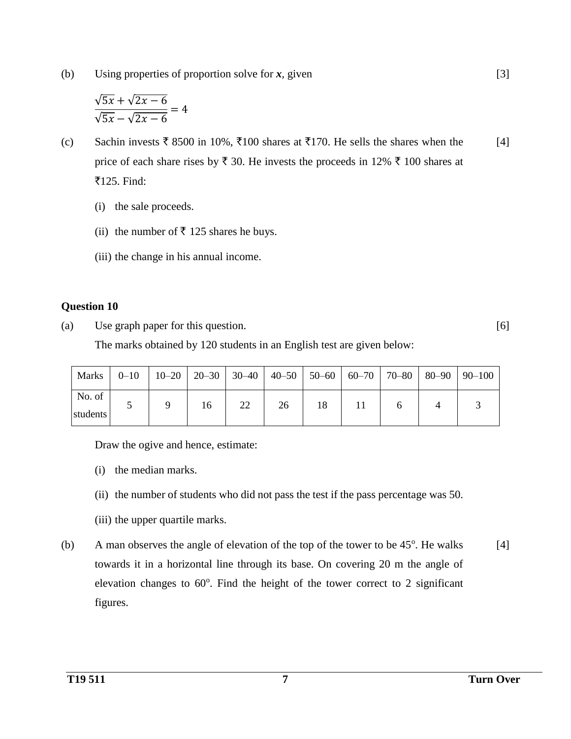(b) Using properties of proportion solve for *x,* given

$$
\frac{\sqrt{5x} + \sqrt{2x - 6}}{\sqrt{5x} - \sqrt{2x - 6}} = 4
$$

- (c) Sachin invests  $\bar{\tau}$  8500 in 10%,  $\bar{\tau}$ 100 shares at  $\bar{\tau}$ 170. He sells the shares when the price of each share rises by  $\bar{\tau}$  30. He invests the proceeds in 12%  $\bar{\tau}$  100 shares at ₹125. Find: [4]
	- (i) the sale proceeds.
	- (ii) the number of  $\bar{\tau}$  125 shares he buys.
	- (iii) the change in his annual income.

## **Question 10**

(a) Use graph paper for this question.

[6]

[3]

The marks obtained by 120 students in an English test are given below:

|                    |  |    |    |    |  |  | Marks $\vert$ 0–10 $\vert$ 10–20 $\vert$ 20–30 $\vert$ 30–40 $\vert$ 40–50 $\vert$ 50–60 $\vert$ 60–70 $\vert$ 70–80 $\vert$ 80–90 $\vert$ 90–100 |
|--------------------|--|----|----|----|--|--|---------------------------------------------------------------------------------------------------------------------------------------------------|
| No. of<br>students |  | 16 | 22 | 26 |  |  |                                                                                                                                                   |

Draw the ogive and hence, estimate:

- (i) the median marks.
- (ii) the number of students who did not pass the test if the pass percentage was 50.
- (iii) the upper quartile marks.
- (b) A man observes the angle of elevation of the top of the tower to be  $45^\circ$ . He walks towards it in a horizontal line through its base. On covering 20 m the angle of elevation changes to  $60^\circ$ . Find the height of the tower correct to 2 significant figures. [4]